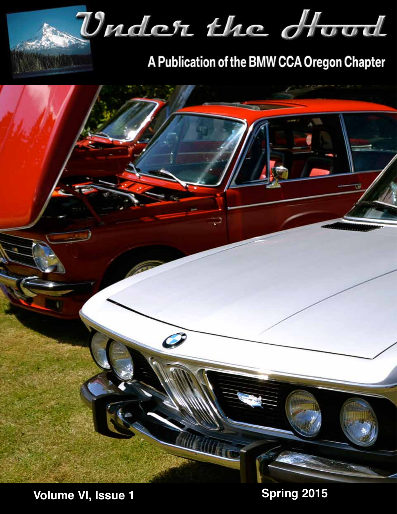

A Publication of the BMW CCA Oregon Chapter



**Volume VI, Issue 1 Spring 2015**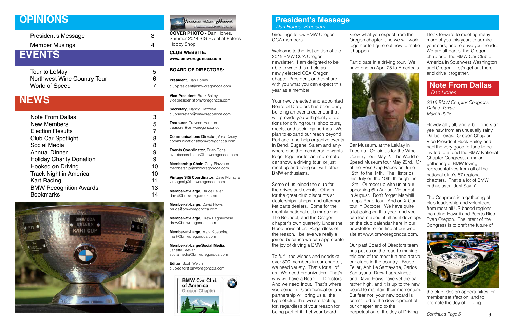Greetings fellow BMW Oregon CCA members.

Welcome to the first edition of the 2015 BMW CCA Oregon newsletter. I am delighted to be able to write this article as newly elected CCA Oregon chapter President, and to share with you what you can expect this year as a member.

Your newly elected and appointed Board of Directors has been busy building an events calendar that will provide you with plenty of op tions for driving tours, shop tours, meets, and social gatherings. We plan to expand our reach beyond Portland, and help organize events in Bend, Eugene, Salem and any where else the membership wants to get together for an impromptu car show, a driving tour, or just meet up and hang out with other BMW enthusiasts.

Some of us joined the club for the drives and events. Others for the great club discounts at dealerships, shops, and aftermar ket parts dealers. Some for the monthly national club magazine The Roundel, and the Oregon chapter's own quarterly Under the Hood newsletter. Regardless of the reason, I believe we really all joined because we can appreciate the joy of driving a BMW.

To fulfill the wishes and needs of over 800 members in our chapter, we need variety. That's for all of us. We need organization. That's why we have a Board of Directors. And we need input. That's where you come in. Communication and partnership will bring us all the type of club that we are looking for, regardless of your reason for being part of it. Let your board

know what you expect from the Oregon chapter, and we will work together to figure out how to make

**COVER PHOTO - Dan Hones,** Summer 2014 SIG Event at Peter's Hobby Shop

it happen.

Participate in a driving tour. We have one on April 25 to America's



Car Museum, at the LeMay in Tacoma. Or join us for the Wine Country Tour May 2. The World of Speed Museum tour May 23rd. Or at the Rose Cup Races on June 12th to the 14th. The Historics this July on the 10th through the 12th. Or meet up with us at our upcoming 6th Annual Motorfest in August. Don't forget Maryhill Loops Road tour. And an X-Car tour in October. We have quite a lot going on this year, and you can learn about it all as it develops on the club calendar here in our newsletter, or on-line at our web site at www.bmworegoncca.com.

Our past Board of Directors team has put us on the road to making this one of the most fun and active car clubs in the country. Bruce Feller, Anh Le Santayana, Carlos Santayana, Drew Lagravinese, and David Hows have set the bar rather high, and it is up to the new board to maintain their momentum. But fear not, your new board is committed to the development of our chapter and to the perpetuation of the Joy of Driving.

## **President's Message**  *Dan Hones, President*

President's Message

3

Member Musings

4

## **OPINIONS**

## **EVENTS**

Tour to LeMay 5 Northwest Wine Country Tour **6** World of Speed 7

## **NEWS**

| <b>Note From Dallas</b>         |    |
|---------------------------------|----|
| <b>New Members</b>              | 5  |
| <b>Election Results</b>         |    |
| <b>Club Car Spotlight</b>       | 8  |
| Social Media                    | 8  |
| <b>Annual Dinner</b>            | 9  |
| <b>Holiday Charity Donation</b> | 9  |
| <b>Hooked on Driving</b>        | 10 |
| <b>Track Night in America</b>   | 10 |
| <b>Kart Racing</b>              | 11 |
| <b>BMW Recognition Awards</b>   | 13 |
| <b>Bookmarks</b>                | 14 |
|                                 |    |





**CLUB WEBSITE: www.bmworegoncca.com**

## **BOARD OF DIRECTORS:**

**President**, Dan Hones clubpresident@bmworegoncca.com

**Vice President**, Buck Bailey vicepresident@bmworegoncca.com

**Secretary**, Nancy Piazzese clubsecretary@bmworegoncca.com

**Treasurer**, Trayson Harmon treasurer@bmworegoncca.com

**Communications Director**, Alex Casey communications@bmworegoncca.com

**Events Coordinator**, Brian Cone eventscoordinator@bmworegoncca.com

**Membership Chair**, Cory Piazzese membership@bmworegoncca.com

**Vintage SIG Coordinator**, Dave McIntyre vintagesig@bmworegoncca.com

**Member-at-Large**, Bruce Feller david@bmworegoncca.com

**Member-at-Large**, David Hows bruce@bmworegoncca.com

**Member-at-Large**, Drew Lagravinese drew@bmworegoncca.com

**Member-at-Large**, Mark Koepping mark@bmworegoncca.com

**Member-at-Large/Social Media**, Janette Teevan socialmedia@bmworegoncca.com

**Editor**, Scott Welch clubeditor@bmworegoncca.com



I look forward to meeting many more of you this year, to admire your cars, and to drive your roads. We are all part of the Oregon chapter of the BMW Car Club of America in Southwest Washington and Oregon. Let's get out there and drive it together.

## **Note From Dallas**  *Dan Hones*

*2015 BMW Chapter Congress Dallas, Texas March 2015*

Howdy all y'all, and a big lone-star yee haw from an unusually rainy Dallas Texas. Oregon Chapter Vice President Buck Bailey and I had the very good fortune to be invited to attend the BMW National Chapter Congress, a major gathering of BMW loving representatives from all of the national club's 67 regional chapters. That's a lot of BMW enthusiasts. Just Sayin'…

The Congress is a gathering of club leadership and volunteers from most all US based regions, including Hawaii and Puerto Rico. Even Oregon. The intent of the Congress is to craft the future of



the club, design opportunities for member satisfaction, and to promote the Joy of Driving.

*Continued Page 5*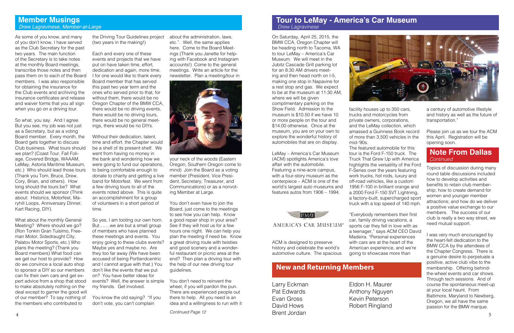## **Tour to LeMay - America's Car Museum**  *Drew Lagravinese*

 **New and Returning Members**

 $\frac{4}{2}$  DIEIII JOI GAI  $\frac{1}{2}$  DIEIII JOI GAI  $\frac{1}{2}$  5 Larry Eckman Pat Edwards Evan Gross David Hows Brent Jordan



As some of you know, and many of you don't know, I have served as the Club Secretary for the past two years. The main function of the Secretary is to take notes at the monthly Board meetings, transcribe those notes and then pass them on to each of the Board members. I was also responsible for obtaining the insurance for the Club events and archiving the insurance certificates and release and waiver forms that you all sign when you go on a driving tour.

## Eldon H. Maurer Anthony Nguyen Kevin Peterson

Robert Ringland

## **Member Musings**  *Drew Lagravinese, Member-at-Large*

So what, you say. And I agree. But you see, my job was not just as a Secretary, but as a voting Board member. Every month, the Board gets together to discuss Club business. What tours should we plan? (Coast Tour, Fall Foliage, Covered Bridge, WAAAM, LeMay, Astoria Maritime Museum, etc.) Who should lead those tours (Thank you Tom, Bruce, Drew, Cory, Brian, and others). How long should the tours be? What events should we sponsor (Think about: Historics, Motorfest, Maryhill Loops, Anniversary Dinner, Kart Racing, DIY).

What about the monthly General Meeting? Where should we go? (Ron Tonkin Gran Tuisimo, Freeman Motor, Sidedraught City, Palatov Motor Sports, etc.) Who plans the meeting? (Thank you Board members) What food can we get our host to provide? How do we convince a local auto shop to sponsor a DIY so our members can fix their own cars and get expert advice from a shop that stood to make absolutely nothing on the deal except to garner the good will of our member? To say nothing of the members who contributed to

the Driving Tour Guidelines project (two years in the making!)

Each and every one of these events and projects that we have put on have taken time, effort, dedication and again, more time. I for one would like to thank every Board member that has served this past two year term and the ones who served prior to that, for without them, there would be no Oregon Chapter of the BMW CCA, there would be no driving events, there would be no driving tours, there would be no general meetings, there would be no DIYs.

Without their dedication, talent, time and effort, the Chapter would be a shell of its present shelf. We went from having no money in the bank and wondering how we were going to fund our operations, to being comfortable enough to donate to charity and getting a live band for Motorfest. We went from a few driving tours to all of the events noted above. This is quite an accomplishment for a group of volunteers in a short period of time.

So yes, I am tooting our own horn. But…….we are but a small group of members who have planned these meetings and events. You enjoy going to these clubs events? Maybe yes and maybe no. Are they too far away (We have been accused of being Portlandcentric and I cannot argue with that.) You don't like the events that we put on? You have better ideas for events? Well, the answer is simple my friends. Get involved.

You know the old saying? "If you don't vote, you can't complain

about the administration, laws, etc.". Well, the same applies here. Come to the Board Meetings (Thank you Janette for helping with Facebook and Instagram accounts!) Come to the general meetings. Write an article for the



your neck of the woods (Eastern Oregon, Southern Oregon come to mind) Join the Board as a voting member (President, Vice President, Secretary, Treasurer, and Communications) or as a nonvoting Member at Large.

You don't even have to join the Board, just come to the meetings to see how you can help. Know a good repair shop in your area? See if they will host us for a few hours one night. We can help you plan the meeting if need be. Know a great driving route with twisties and good scenery and a wonderful restaurant or picnic area at the end? Then plan a driving tour with the help of our new driving tour guidelines.

You don't need to reinvent the wheel, if you will pardon the pun. There are experienced people out there to help. All you need is an idea and a willingness to run with it

On Saturday, April 25, 2015, the BMW CCA, Oregon Chapter will be heading north to Tacoma, WA to tour LeMay – America's Car Museum. We will meet in the Jubitz Cascade Grill parking lot for an 8:30 AM drivers meeting and then head north on I-5, making one stop in Napavine for a rest stop and gas. We expect to be at the museum at 11:30 AM, where we will be given complimentary parking on the Show Field. Admission to the museum is \$10.50 if we have 10 or more people on the tour and \$14.00 otherwise. Once at the museum, you are on your own to explore the wonderful history of automobiles that are on display.

LeMay – America's Car Museum (ACM) spotlights America's love affair with the automobile. Featuring a nine-acre campus, with a four-story museum as the centerpiece – ACM is one of the world's largest auto museums and features autos from 1906 – 1994.



## AMERICA'S CAR MUSEUM®

ACM is designed to preserve history and celebrate the world's automotive culture. The spacious

facility houses up to 350 cars, trucks and motorcycles from private owners, corporations, and the LeMay collection, which amassed a Guinness Book record of more than 3,500 vehicles in the

mid-'90s.

The featured automobile for this tour is the Ford F-150 truck. The Truck That Grew Up with America highlights the versatility of the Ford F-Series over the years featuring work trucks, hot rods, luxury and off-road vehicles, like a custom 1956 F-100 in brilliant orange and a 2000 Ford F-150 SVT Lightning, a factory-built, supercharged sport truck with a top speed of 140 mph.

"Everybody remembers their first car, family driving vacations, a sports car they fell in love with as a teenager," says ACM CEO David Madeira. "Personal experiences with cars are at the heart of the American experience, and we're going to showcase more than

*Continued Page 12*

a century of automotive lifestyle and history as well as the future of transportation."

Please join us as we tour the ACM this April. Registration will be opening soon.

## **Note From Dallas**  *Continued*

Topics of discussion during many round table discussions included how to develop activities and benefits to retain club membership; how to create demand for women and younger member attractions; and how do we deliver a positive value exchange to our members. The success of our club is really a two way street, we need mutual support.

I was very much encouraged by the heart-felt dedication to the BMW CCA by the attendees of the Chapter Congress. There is a genuine desire to perpetuate a positive, active club vibe to the membership. Offering behindthe-wheel events and car shows. Through tech sessions. And of course the spontaneous meet-up at your local haunt. From Baltimore, Maryland to Newberg, Oregon, we all have the same passion for the BMW marque.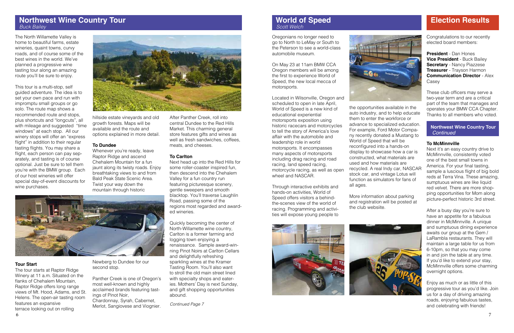## **Northwest Wine Country Tour**  *Buck Bailey*

The North Willamette Valley is home to beautiful farms, estate wineries, quaint towns, curvy roads, and of course some of the best wines in the world. We've planned a progressive wine tasting tour along an amazing route you'll be sure to enjoy.

This tour is a multi-stop, self guided adventure. The idea is to set your own pace and run with impromptu small groups or go solo. The route map shows a recommended route and stops, plus shortcuts and "longcuts", all with mileage and suggested "time windows" at each stop. All our winery stops will offer an "express flight" in addition to their regular tasting flights. You may share a flight, each person can pay separately, and tasting is of course optional. Just be sure to tell them you're with the BMW group. Each of our host wineries will offer special day-of-event discounts for wine purchases.



### **Tour Start**

The tour starts at Raptor Ridge Winery at 11 a.m. Situated on the flanks of Chehalem Mountain, Raptor Ridge offers long range views of Mt. Hood, Adams, and St. Helens. The open-air tasting room features an expansive terrace looking out on rolling

hillside estate vineyards and old growth forests. Maps will be available and the route and options explained in more detail.

#### **To Dundee**

Whenever you're ready, leave Raptor Ridge and ascend Chehalem Mountain for a fun jaunt along its twisty roads. Enjoy breathtaking views to and from Bald Peak State Scenic Area. Twist your way down the mountain through historic



Newberg to Dundee for our second stop.

Panther Creek is one of Oregon's most well-known and highly acclaimed brands featuring tastings of Pinot Noir, Chardonnay, Syrah, Cabernet, Merlot, Sangiovese and Viognier.

After Panther Creek, roll into central Dundee to the Red Hills Market. This charming general store features gifts and wines as well as fresh sandwiches, coffees, meats, and cheeses.

#### **To Carlton**

Next head up into the Red Hills for some roller-coaster inspired fun, then descend into the Chehalem Valley for a fun country run featuring picturesque scenery, gentle sweepers and smooth blacktop. You'll traverse Laughlin Road, passing some of the regions most regarded and awarded wineries.

Quickly becoming the center of North-Willamette wine country, Carlton is a former farming and logging town enjoying a renaissance. Sample award-winning Pinot Noirs at Carlton Cellars and delightfully refreshing sparkling wines at the Kramer Tasting Room. You'll also want to stroll the old main street lined with specialty shops and eateries. Mothers' Day is next Sunday, and gift shopping opportunities abound.

## **World of Speed**  *Scott Welch*

#### **To McMinnville**

Next it's an easy country drive to McMinnville, consistently voted one of the best small towns in America. For your final tasting, sample a luscious flight of big bold reds at Terra Vina. These amazing, sumptuous wines are like liquid red velvet. There are more shopping opportunities for Mom along picture-perfect historic 3rd street.

After a busy day you're sure to have an appetite for a fabulous dinner in McMinnville. A unique and sumptuous dining experience awaits our group at the Gem / LaRambla restaurants. They will maintain a large table for us from 6-10pm, so that you may come in and join the table at any time. If you'd like to extend your stay, McMinnville offers some charming overnight options.

Enjoy as much or as little of this progressive tour as you'd like. Join us for a day of driving amazing roads, enjoying fabulous tastes, and celebrating with friends!

## **Northwest Wine Country Tour** *Continued*

## **Election Results**

Congratulations to our recently elected board members:

**President** - Dan Hones **Vice President** - Buck Bailey **Secretary** - Nancy Piazzese **Treasurer** - Trayson Harmon **Communication Director** - Alex Casey

These club officers may serve a two-year term and are a critical part of the team that manages and operates your BMW CCA Chapter. Thanks to all members who voted.

*Continued Page 7*

Oregonians no longer need to go to North to LeMay or South to the Peterson to see a world-class automobile museum.

On May 23 at 11am BMW CCA Oregon members will be among the first to experience World of Speed, the new local mecca of motorsports.

Located in Wilsonville, Oregon and scheduled to open in late April, World of Speed is a new kind of educational experiential motorsports exposition using historic racecars and motorcycles to tell the story of America's love affair with the automobile and leadership role in world motorsports. It encompasses many aspects of motorsports including drag racing and road racing, land speed racing, motorcycle racing, as well as open wheel and NASCAR.

Through interactive exhibits and hands-on activities, World of Speed offers visitors a behindthe-scenes view of the world of racing. Programming and activities will expose young people to





the opportunities available in the auto industry, and to help educate them to enter the workforce or advance to specialized education. For example, Ford Motor Company recently donated a Mustang to World of Speed that will be reconfigured into a hands-on display to showcase how a car is constructed, what materials are used and how materials are recycled. A real Indy car, NASCAR stock car, and vintage Lotus will function as simulators for fans of

all ages.



More information about parking and registration will be posted at the club websiite.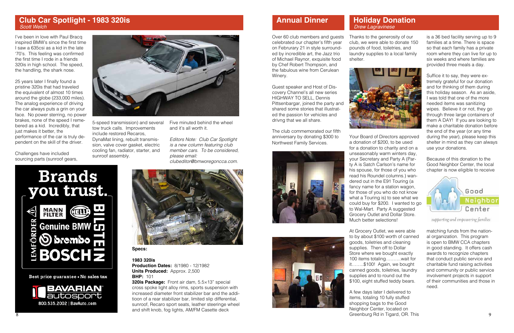## **Annual Dinner**

Thanks to the generosity of our club, we were able to donate 150 pounds of food, toiletries, and laundry supplies to a local family shelter.



Your Board of Directors approved a donation of \$200, to be used for a donation to charity and on a unseasonably warm winters day, your Secretary and Party A (Party A is Satch Carlson's name for his spouse, for those of you who read his Roundel columns.) wandered out in the E91 Touring (a fancy name for a station wagon, for those of you who do not know what a Touring is) to see what we could buy for \$200. I wanted to go to Wal-Mart. Party A suggested Grocery Outlet and Dollar Store. Much better selections!

8 9 Greenburg Rd in Tigard, OR. This A few days later I delivered to items, totaling 10 fully stuffed shopping bags to the Good Neighbor Center, located on

At Grocery Outlet, we were able to by about \$100 worth of canned goods, toiletries and cleaning supplies. Then off to Dollar Store where we bought exactly 100 items totaling……….wait for it……..\$100! Again, we bought canned goods, toiletries, laundry supplies and to round out the \$100, eight stuffed teddy bears.

is a 36 bed facility serving up to 9 families at a time. There is space so that each family has a private room where they can live for up to six weeks and where families are provided three meals a day.

Suffice it to say, they were extremely grateful for our donation and for thinking of them during this holiday season. As an aside, I was told that one of the more needed items was sanitizing wipes. Believe it or not, they go through three large containers of them A DAY! If you are looking to make a charitable donation before the end of the year (or any time during the year), please keep this shelter in mind as they can always use your donations.

Because of this donation to the Good Neighbor Center, the local chapter is now eligible to receive



supporting and empowering families

matching funds from the national organization. This program is open to BMW CCA chapters in good standing. It offers cash awards to recognize chapters that conduct public service and charitable fund raising activities and community or public service involvement projects in support of their communities and those in need.

## **Holiday Donation**

# *Drew Lagravinese*

Over 60 club members and guests celebrated our chapter's fifth year on Februrary 21 in style surrounded by incredible art, the Jazz trio of Michael Raynor, exquisite food by Chef Robert Thompson, and the fabulous wine from Cerulean Winery.

Guest speaker and Host of Discovery Channel's all new series HIGHWAY TO SELL, Dennis Pittsenbargar, joined the party and shared some stories that illustrated the passion for vehicles and drivng that we all share.

The club commemorated our fifth anniversary by donating \$300 to Northwest Family Services.







**Specs:**

#### **1983 320is**

**Production Dates:** 8/1980 - 12/1982 **Units Produced:** Approx. 2,500 **BHP:** 101

**320is Package:** Front air dam, 5.5×13" special cross spoke light alloy rims, sports suspension with increased diameter front stabilizer bar and the additioon of a rear stabilizer bar, limited slip differential, sunroof, Recaro sport seats, leather steeringe wheel and shift knob, fog lights, AM/FM Casette deck

I've been in love with Paul Bracq inspired BMW's since the first time I saw a 635csi as a kid in the late '70's. This feeling was confirmed the first time I rode in a friends 320is in high school. The speed, the handling, the shark nose.

25 years later I finally found a pristine 320is that had traveled the equivalent of almost 10 times around the globe (233,000 miles). The analog experience of driving the car always puts a grin on your face. No power sterring, no power brakes, none of the speed I remebered as a kid. Incredibly, that just makes it better, the performance of the car is truly dependent on the skill of the driver.

Challenges have included sourcing parts (sunroof gears,



5-speed transmission) and several tow truck calls. Improvements include restored Recaros, DynaMat lining, rebuilt transmission, valve cover gasket, electric cooling fan, radiator, starter, and sunroof assembly.

Five minuted behind the wheel and it's all worth it.

*Editors Note: Club Car Spotlight is a new column featuring club member cars. To be considered, please email: clubeditor@bmworegoncca.com.*



Best price guarantee - No sales tax



## **Club Car Spotlight - 1983 320is**  *Scott Welch*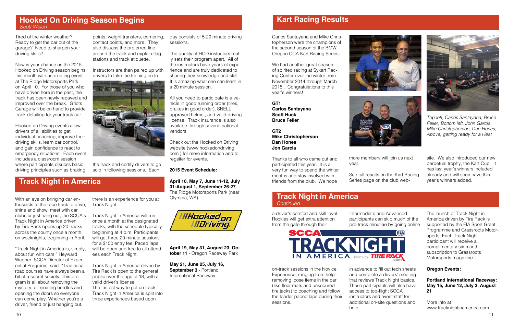

## **Kart Racing Results**

Carlos Santayana and Mike Christopherson were the champions of the second season of the BMW Oregon CCA Kart Racing Series.

We had another great season of spirited racing at Sykart Racing Center over the winter from November 2014 through March 2015.. Congratulations to this year's winners!

**GT1 Carlos Santayana Scott Huck Bruce Feller**

**GT2 Mike Christopherson Dan Hones Jon Garcia**

Thanks to all who came out and participated this year. It is a very fun way to spend the winter months and stay involved with friends from the club. We hope

more members will join us next

year.



See full results on the Kart Racing Series page on the club web-

## **Hooked On Driving Season Begins** *Scott Welch*

Tired of the winter weather? Ready to get the car out of the garage? Need to sharpen your driving skills?

Now is your chance as the 2015 Hooked on Driving season begins this month with an exciting event at The Ridge Motorsports Park on April 10. For those of you who have driven here in the past, the track has been newly repaved and improved over the break. Griots Garage will be on hand to provide track detailing for your track car.

Hooked on Driving events allow drivers of all abilities to get individual coaching, improve their driving skills, learn car control, and gain confidence to react to emergency situations. Each event includes a classroom session where participants disucss basic driving principles such as braking

points, weight transfers, cornering, contact points, and more. They also disucss the preferred line around the track and explain flag stations and track etiquette.

Instructors are then paired up with drivers to take the training on to



the track and certify drivers to go solo in following sessions. Each

day consists of 5-20 minute driving

sessions.

The quality of HOD instuctors really sets their program apart. All of the instructors have years of experience and are truly dedicated to sharing their knowledge and skill. It is amazing what one can learn in a 20 minute session.

All you need to participate is a vehicle in good running order (tires, brakes in good order), SNELL approved helmet, and valid driving license. Track insurance is also availabe through several national vendors.

Check out the Hooked on Driving website (www.hookedondriving. com ) for more information and to regsiter for events.

#### **2015 Event Schedule:**

**April 10, May 7, June 11-12, July 31-August 1, September 26-27** - The Ridge Motorsports Park (near Olympia, WA)



**April 19, May 31, August 23, October 11** - Oregon Raceway Park

**May 21, June 25, July 16, September 3** - Portland International Raceway

## **Track Night in America**

With an eye on bringing car enthusiasts to the race track to drive, shine and show, meet with car

Track Night in America driven by Tire Rack opens up 20 tracks across the county once a month, on weeknights, beginning in April.

clubs or just hang out, the SCCA's Track Night in America will run

"Track Night in America is, simply, about fun with cars," Heyward Wagner, SCCA Director of Experiential Programs, said. "Traditional road courses have always been a bit of a secret society. This program is all about removing the mystery, eliminating hurdles and opening the doors so everyone can come play. Whether you're a driver, friend or just hanging out,

there is an experience for you at

Track Night.

once a month at the designated tracks, with the schedule typically beginning at 4 p.m. Participants will get three 20-minute sessions for a \$150 entry fee. Paced laps will be open and free to all attend-

ees each Track Night.

Track Night in America driven by Tire Rack is open to the general public over the age of 18, with a

valid driver's license.

The fastest way to get on track, Track Night in America is split into three experiences based upon

## **Track Night in America** *Continued*

a driver's comfort and skill level. Rookies will get extra attention from the gate through their

on-track sessions in the Novice Experience, ranging from help removing loose items in the car (like floor mats and unsecured tire jacks) to coaching and follow the leader paced laps during their sessions.

Intermediate and Advanced participants can skip much of the pre-track minutiae by going online



in advance to fill out tech sheets and complete a drivers' meeting that reviews Track Night basics. Those participants will also have access to top-flight SCCA instructors and event staff for additional on-site questions and help.



The launch of Track Night in America driven by Tire Rack is supported by the FIA Sport Grant Programme and Grassroots Motorsports. Each Track Night participant will receive a complimentary six-month subscription to Grassroots Motorsports magazine.

### **Oregon Events:**

**Portland International Raceway: May 15, June 12, July 3, August 21**

More info at www.tracknightinamerica.com

site. We also introduced our new perpetual trophy, the Kart Cup. It has last year's winners included already and will soon have this year's winners added.



*Top left, Carlos Santayana, Bruce Feller; Bottom left, John Garcia, Mike Christopherson, Dan Hones; Above, getting ready for a Heat*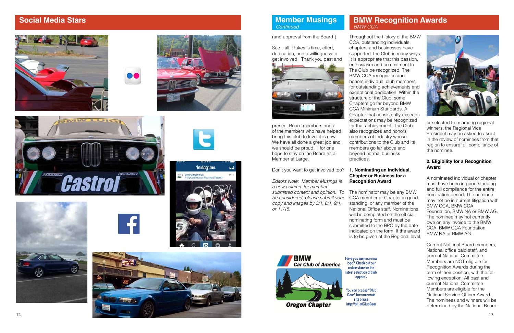

## **Member Musings**  *Continued*

(and approval from the Board!)

See…all it takes is time, effort, dedication, and a willingness to get involved. Thank you past and



present Board members and all of the members who have helped bring this club to level it is now. We have all done a great job and we should be proud. I for one hope to stay on the Board as a Member at Large.

Don't you want to get involved too?

*Editors Note: Member Musings is a new column for member submitted content and opinion. To be considered, please submit your copy and images by 3/1, 6/1, 9/1, or 11/15.*

## **BMW Recognition Awards**



# *BMW CCA*

Throughout the history of the BMW CCA, outstanding individuals, chapters and businesses have supported The Club in many ways. It is appropriate that this passion, enthusiasm and commitment to The Club be recognized. The BMW CCA recognizes and honors individual club members for outstanding achievements and exceptional dedication. Within the structure of the Club, some Chapters go far beyond BMW CCA Minimum Standards. A Chapter that consistently exceeds expectations may be recognized for that achievement. The Club also recognizes and honors members of Industry whose contributions to the Club and its members go far above and beyond normal business practices.

#### **1. Nominating an Individual, Chapter or Business for a Recognition Award**

The nominator may be any BMW CCA member or Chapter in good standing, or any member of the National Office staff. Nominations will be completed on the official nominating form and must be submitted to the RPC by the date indicated on the form. If the award is to be given at the Regional level,



**Oregon Chapter** 

apparel. You can access "Club

Have you seen our new logo? Check out our

online store for the latest selection of club

Gear" from our main site or use http://bit.ly/ClubGear

or selected from among regional winners, the Regional Vice President may be asked to assist in the review of nominees from that region to ensure full compliance of the nominee.

### **2. Eligibility for a Recognition Award**

A nominated individual or chapter must have been in good standing and full compliance for the entire nomination period. The nominee may not be in current litigation with BMW CCA, BMW CCA Foundation, BMW NA or BMW AG. The nominee may not currently owe on any invoice to the BMW CCA, BMW CCA Foundation, BMW NA or BMW AG.

Current National Board members, National office paid staff, and current National Committee Members are NOT eligible for Recognition Awards during the term of their position, with the fol lowing exception: All past and current National Committee Members are eligible for the National Service Officer Award. The nominees and winners will be determined by the National Board.

## **Social Media Stars**













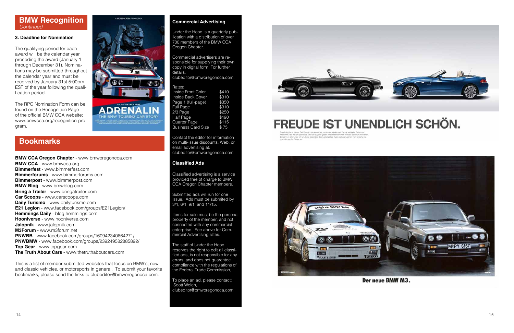#### **Commercial Advertising**

Under the Hood is a quarterly pub lication with a distribution of over 700 members of the BMW CCA Oregon Chapter.

Commercial advertisers are re sponsible for supplying their own copy in digital form. For further details:

clubeditor@bmworegoncca.com.

| Rates:                    |       |
|---------------------------|-------|
| <b>Inside Front Color</b> | \$410 |
| <b>Inside Back Cover</b>  | \$310 |
| Page 1 (full-page)        | \$350 |
| Full Page                 | \$310 |
| 2/3 Page                  | \$250 |
| <b>Half Page</b>          | \$190 |
| Quarter Page              | \$115 |
| <b>Business Card Size</b> | \$75  |

Contact the editor for information on multi-issue discounts, Web, or email advertising at: clubeditor@bmworegoncca.com

#### **Classified Ads**

Classified advertising is a service provided free of charge to BMW CCA Oregon Chapter members.

Submitted ads will run for one issue. Ads must be submited by 3/1, 6/1, 9/1, and 11/15.

Items for sale must be the personal property of the member, and not connected with any commercial enterprise. See above for Com mercial Advertising rates.

The staff of Under the Hood reserves the right to edit all classi fied ads, is not responsible for any errors, and does not guarentee compliance with the regulations of the Federal Trade Commission,

To place an ad, please contact: Scott Welch, clubeditor@bmworegoncca.com



# FREUDE IST UNENDLICH SCHÖN.

hivestimes. Nur was see optical has two comparations are patient. We be SMAV haben Freudal. Note was as Fair<br>Servicen an alliers, was will tars, Ganz beconders danni, singspringe Autos zu bauen, denen man ansieht, will<br>Une



Der neue BMW M3.

## **BMW Recognition**  *Continued*

#### **3. Deadline for Nomination**

The qualifying period for each award will be the calendar year preceding the award (January 1 through December 31). Nomina tions may be submitted throughout the calendar year and must be received by January 31st 5:00pm EST of the year following the quali fication period.

The RPC Nomination Form can be found on the Recognition Page of the official BMW CCA website: www.bmwcca.org/recognition-pro gram.

## **Bookmarks**

**BMW CCA Oregon Chapter** - www.bmworegoncca.com **BMW CCA** - www.bmwcca.org **Bimmerfest** - www.bimmerfest.com **Bimmerforums** - www.bimmerforums.com **Bimmerpost** - www.bimmerpost.com **BMW Blog** - www.bmwblog.com **Bring a Trailer** - www.bringatrailer.com **Car Scoops** - www.carscoops.com **Daily Turismo** - www.dailyturismo.com **E21 Legion** - www.facebook.com/groups/E21Legion/ **Hemmings Daily** - blog.hemmings.com **Hooniverse** - www.hooniverse.com **Jalopnik** - www.jalopnik.com **M3Forum** - www.m3forum.net **PNWBB** - www.facebook.com/groups/160942340664271/ **PNWBMW** - www.facebook.com/groups/239249582885892/ **Top Gear** - www.topgear.com **The Truth About Cars** - www.thetruthaboutcars.com

This is a list of member submitted websites that focus on BMW's, new and classic vehicles, or motorsports in general. To submit your favorite bookmarks, please send the links to clubeditor@bmworegoncca.com .